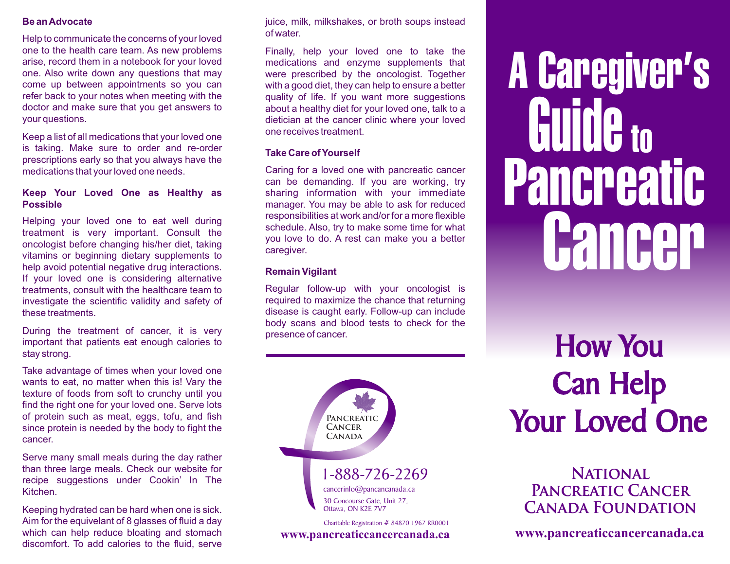#### Be an Advocate

Help to communicate the concerns of your loved one to the health care team. As new problems arise, record them in a notebook for your loved one. Also write down any questions that may come up between appointments so you can refer back to your notes when meeting with the doctor and make sure that you get answers to your questions.

Keep a list of all medications that your loved one is taking. Make sure to order and re-order prescriptions early so that you always have the medications that your loved one needs.

#### Keep Your Loved One as Healthy as Possible

Helping your loved one to eat well during treatment is very important. Consult the oncologist before changing his/her diet, taking vitamins or beginning dietary supplements to help avoid potential negative drug interactions. If your loved one is considering alternative treatments, consult with the healthcare team to investigate the scientific validity and safety of these treatments.

During the treatment of cancer, it is very important that patients eat enough calories to stay strong.

Take advantage of times when your loved one wants to eat, no matter when this is! Vary the texture of foods from soft to crunchy until you find the right one for your loved one. Serve lots of protein such as meat, eggs, tofu, and fish since protein is needed by the body to fight the cancer.

Serve many small meals during the day rather than three large meals. Check our website for recipe suggestions under Cookin' In The Kitchen.

Keeping hydrated can be hard when one is sick. Aim for the equivelant of 8 glasses of fluid a day which can help reduce bloating and stomach discomfort. To add calories to the fluid, serve

juice, milk, milkshakes, or broth soups instead of water.

Finally, help your loved one to take the medications and enzyme supplements that were prescribed by the oncologist. Together with a good diet, they can help to ensure a better quality of life. If you want more suggestions about a healthy diet for your loved one, talk to a dietician at the cancer clinic where your loved one receives treatment.

#### Take Care of Yourself

Caring for a loved one with pancreatic cancer can be demanding. If you are working, try sharing information with your immediate manager. You may be able to ask for reduced responsibilities at work and/or for a more flexible schedule. Also, try to make some time for what you love to do. A rest can make you a better caregiver.

#### Remain Vigilant

Regular follow-up with your oncologist is required to maximize the chance that returning disease is caught early. Follow-up can include body scans and blood tests to check for the presence of cancer.



**www.pancreaticcancercanada.ca**

# **Pancreatic** A Caregiver's Guide to **Cancer**

# How You Can Help Your Loved One

### **National Pancreatic Cancer Canada Foundation**

**www.pancreaticcancercanada.ca**